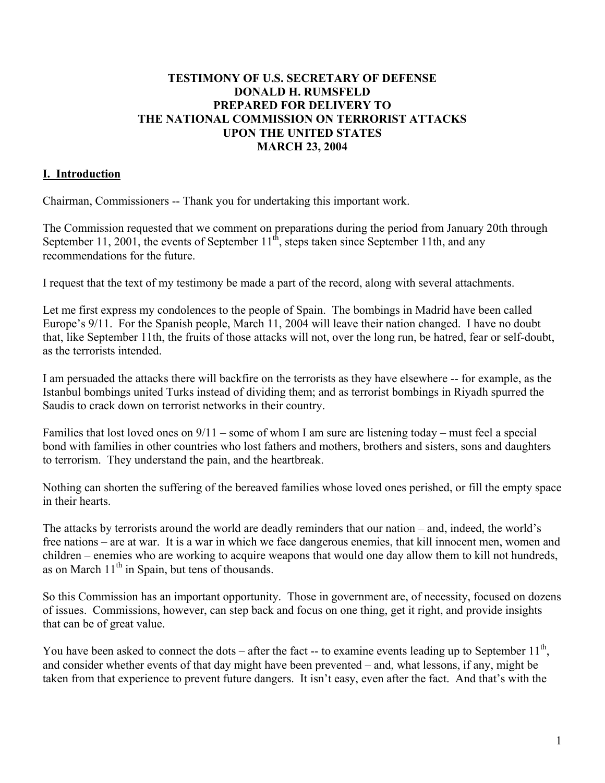#### **TESTIMONY OF U.S. SECRETARY OF DEFENSE DONALD H. RUMSFELD PREPARED FOR DELIVERY TO THE NATIONAL COMMISSION ON TERRORIST ATTACKS UPON THE UNITED STATES MARCH 23, 2004**

#### **I. Introduction**

Chairman, Commissioners -- Thank you for undertaking this important work.

The Commission requested that we comment on preparations during the period from January 20th through September 11, 2001, the events of September  $11^{th}$ , steps taken since September 11th, and any recommendations for the future.

I request that the text of my testimony be made a part of the record, along with several attachments.

Let me first express my condolences to the people of Spain. The bombings in Madrid have been called Europe's 9/11. For the Spanish people, March 11, 2004 will leave their nation changed. I have no doubt that, like September 11th, the fruits of those attacks will not, over the long run, be hatred, fear or self-doubt, as the terrorists intended.

I am persuaded the attacks there will backfire on the terrorists as they have elsewhere -- for example, as the Istanbul bombings united Turks instead of dividing them; and as terrorist bombings in Riyadh spurred the Saudis to crack down on terrorist networks in their country.

Families that lost loved ones on 9/11 – some of whom I am sure are listening today – must feel a special bond with families in other countries who lost fathers and mothers, brothers and sisters, sons and daughters to terrorism. They understand the pain, and the heartbreak.

Nothing can shorten the suffering of the bereaved families whose loved ones perished, or fill the empty space in their hearts.

The attacks by terrorists around the world are deadly reminders that our nation – and, indeed, the world's free nations – are at war. It is a war in which we face dangerous enemies, that kill innocent men, women and children – enemies who are working to acquire weapons that would one day allow them to kill not hundreds, as on March  $11<sup>th</sup>$  in Spain, but tens of thousands.

So this Commission has an important opportunity. Those in government are, of necessity, focused on dozens of issues. Commissions, however, can step back and focus on one thing, get it right, and provide insights that can be of great value.

You have been asked to connect the dots – after the fact -- to examine events leading up to September  $11<sup>th</sup>$ , and consider whether events of that day might have been prevented – and, what lessons, if any, might be taken from that experience to prevent future dangers. It isn't easy, even after the fact. And that's with the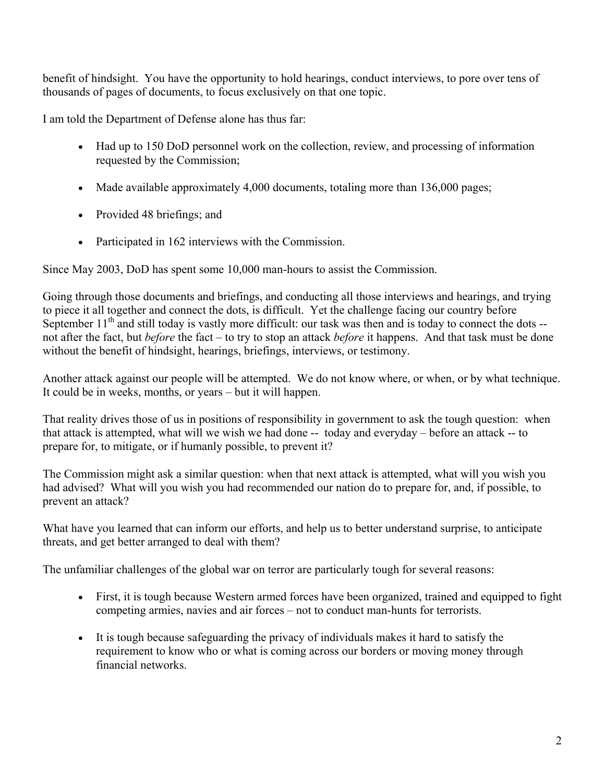benefit of hindsight. You have the opportunity to hold hearings, conduct interviews, to pore over tens of thousands of pages of documents, to focus exclusively on that one topic.

I am told the Department of Defense alone has thus far:

- Had up to 150 DoD personnel work on the collection, review, and processing of information requested by the Commission;
- Made available approximately 4,000 documents, totaling more than 136,000 pages;
- Provided 48 briefings; and
- Participated in 162 interviews with the Commission.

Since May 2003, DoD has spent some 10,000 man-hours to assist the Commission.

Going through those documents and briefings, and conducting all those interviews and hearings, and trying to piece it all together and connect the dots, is difficult. Yet the challenge facing our country before September  $11<sup>th</sup>$  and still today is vastly more difficult: our task was then and is today to connect the dots -not after the fact, but *before* the fact – to try to stop an attack *before* it happens. And that task must be done without the benefit of hindsight, hearings, briefings, interviews, or testimony.

Another attack against our people will be attempted. We do not know where, or when, or by what technique. It could be in weeks, months, or years – but it will happen.

That reality drives those of us in positions of responsibility in government to ask the tough question: when that attack is attempted, what will we wish we had done -- today and everyday – before an attack -- to prepare for, to mitigate, or if humanly possible, to prevent it?

The Commission might ask a similar question: when that next attack is attempted, what will you wish you had advised? What will you wish you had recommended our nation do to prepare for, and, if possible, to prevent an attack?

What have you learned that can inform our efforts, and help us to better understand surprise, to anticipate threats, and get better arranged to deal with them?

The unfamiliar challenges of the global war on terror are particularly tough for several reasons:

- First, it is tough because Western armed forces have been organized, trained and equipped to fight competing armies, navies and air forces – not to conduct man-hunts for terrorists.
- It is tough because safeguarding the privacy of individuals makes it hard to satisfy the requirement to know who or what is coming across our borders or moving money through financial networks.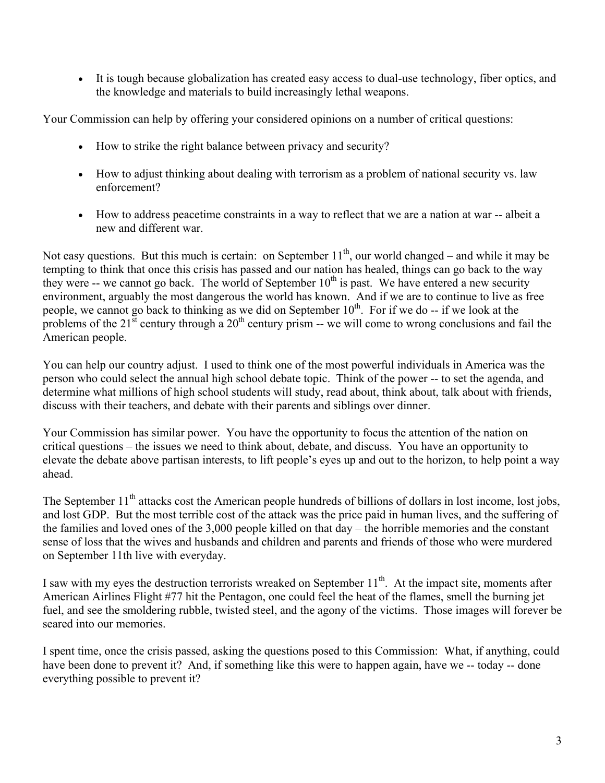• It is tough because globalization has created easy access to dual-use technology, fiber optics, and the knowledge and materials to build increasingly lethal weapons.

Your Commission can help by offering your considered opinions on a number of critical questions:

- How to strike the right balance between privacy and security?
- How to adjust thinking about dealing with terrorism as a problem of national security vs. law enforcement?
- How to address peacetime constraints in a way to reflect that we are a nation at war -- albeit a new and different war.

Not easy questions. But this much is certain: on September  $11^{th}$ , our world changed – and while it may be tempting to think that once this crisis has passed and our nation has healed, things can go back to the way they were -- we cannot go back. The world of September  $10^{th}$  is past. We have entered a new security environment, arguably the most dangerous the world has known. And if we are to continue to live as free people, we cannot go back to thinking as we did on September  $10^{th}$ . For if we do -- if we look at the problems of the  $21^{5t}$  century through a  $20^{th}$  century prism -- we will come to wrong conclusions and fail the American people.

You can help our country adjust. I used to think one of the most powerful individuals in America was the person who could select the annual high school debate topic. Think of the power -- to set the agenda, and determine what millions of high school students will study, read about, think about, talk about with friends, discuss with their teachers, and debate with their parents and siblings over dinner.

Your Commission has similar power. You have the opportunity to focus the attention of the nation on critical questions – the issues we need to think about, debate, and discuss. You have an opportunity to elevate the debate above partisan interests, to lift people's eyes up and out to the horizon, to help point a way ahead.

The September  $11<sup>th</sup>$  attacks cost the American people hundreds of billions of dollars in lost income, lost jobs, and lost GDP. But the most terrible cost of the attack was the price paid in human lives, and the suffering of the families and loved ones of the 3,000 people killed on that day – the horrible memories and the constant sense of loss that the wives and husbands and children and parents and friends of those who were murdered on September 11th live with everyday.

I saw with my eyes the destruction terrorists wreaked on September  $11<sup>th</sup>$ . At the impact site, moments after American Airlines Flight #77 hit the Pentagon, one could feel the heat of the flames, smell the burning jet fuel, and see the smoldering rubble, twisted steel, and the agony of the victims. Those images will forever be seared into our memories.

I spent time, once the crisis passed, asking the questions posed to this Commission: What, if anything, could have been done to prevent it? And, if something like this were to happen again, have we -- today -- done everything possible to prevent it?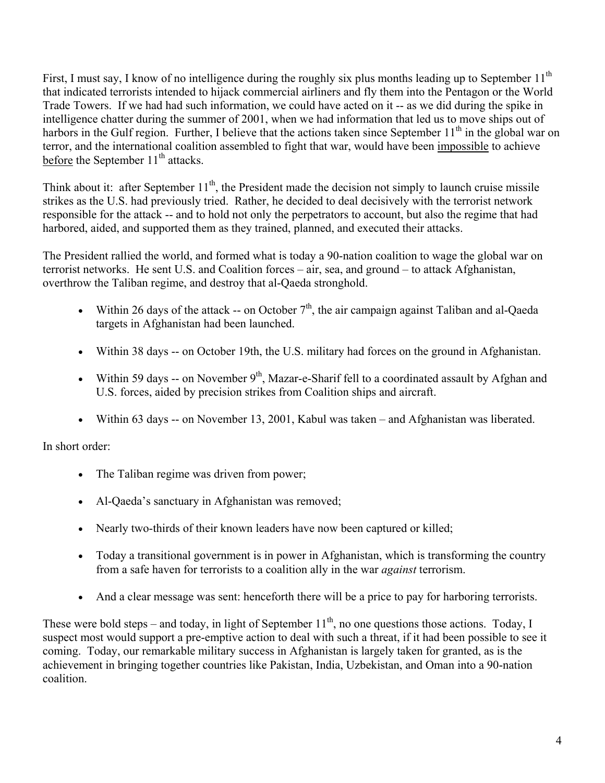First, I must say, I know of no intelligence during the roughly six plus months leading up to September  $11<sup>th</sup>$ that indicated terrorists intended to hijack commercial airliners and fly them into the Pentagon or the World Trade Towers. If we had had such information, we could have acted on it -- as we did during the spike in intelligence chatter during the summer of 2001, when we had information that led us to move ships out of harbors in the Gulf region. Further, I believe that the actions taken since September  $11<sup>th</sup>$  in the global war on terror, and the international coalition assembled to fight that war, would have been impossible to achieve before the September 11<sup>th</sup> attacks.

Think about it: after September  $11<sup>th</sup>$ , the President made the decision not simply to launch cruise missile strikes as the U.S. had previously tried. Rather, he decided to deal decisively with the terrorist network responsible for the attack -- and to hold not only the perpetrators to account, but also the regime that had harbored, aided, and supported them as they trained, planned, and executed their attacks.

The President rallied the world, and formed what is today a 90-nation coalition to wage the global war on terrorist networks. He sent U.S. and Coalition forces – air, sea, and ground – to attack Afghanistan, overthrow the Taliban regime, and destroy that al-Qaeda stronghold.

- Within 26 days of the attack -- on October  $7<sup>th</sup>$ , the air campaign against Taliban and al-Qaeda targets in Afghanistan had been launched.
- Within 38 days -- on October 19th, the U.S. military had forces on the ground in Afghanistan.
- Within 59 days -- on November  $9<sup>th</sup>$ , Mazar-e-Sharif fell to a coordinated assault by Afghan and U.S. forces, aided by precision strikes from Coalition ships and aircraft.
- Within 63 days -- on November 13, 2001, Kabul was taken and Afghanistan was liberated.

In short order:

- The Taliban regime was driven from power;
- Al-Qaeda's sanctuary in Afghanistan was removed;
- Nearly two-thirds of their known leaders have now been captured or killed;
- Today a transitional government is in power in Afghanistan, which is transforming the country from a safe haven for terrorists to a coalition ally in the war *against* terrorism.
- And a clear message was sent: henceforth there will be a price to pay for harboring terrorists.

These were bold steps – and today, in light of September  $11^{th}$ , no one questions those actions. Today, I suspect most would support a pre-emptive action to deal with such a threat, if it had been possible to see it coming. Today, our remarkable military success in Afghanistan is largely taken for granted, as is the achievement in bringing together countries like Pakistan, India, Uzbekistan, and Oman into a 90-nation coalition.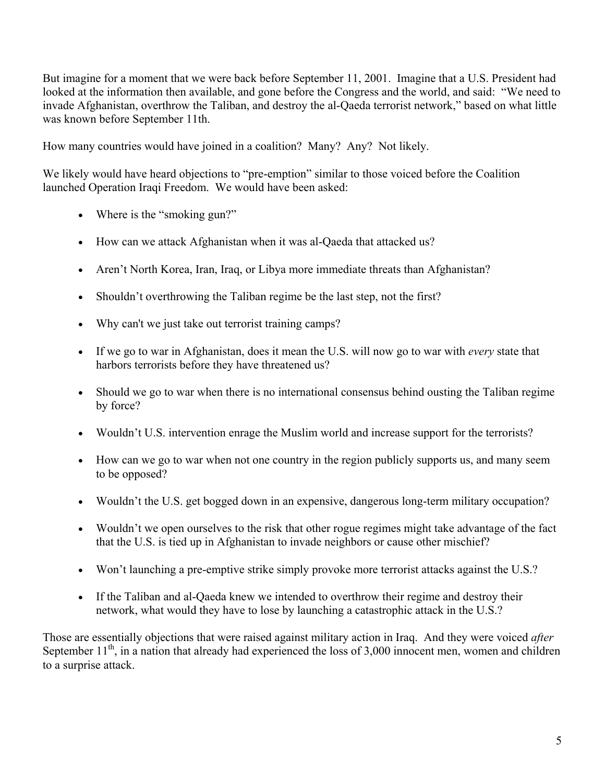But imagine for a moment that we were back before September 11, 2001. Imagine that a U.S. President had looked at the information then available, and gone before the Congress and the world, and said: "We need to invade Afghanistan, overthrow the Taliban, and destroy the al-Qaeda terrorist network," based on what little was known before September 11th.

How many countries would have joined in a coalition? Many? Any? Not likely.

We likely would have heard objections to "pre-emption" similar to those voiced before the Coalition launched Operation Iraqi Freedom. We would have been asked:

- Where is the "smoking gun?"
- How can we attack Afghanistan when it was al-Qaeda that attacked us?
- Aren't North Korea, Iran, Iraq, or Libya more immediate threats than Afghanistan?
- Shouldn't overthrowing the Taliban regime be the last step, not the first?
- Why can't we just take out terrorist training camps?
- If we go to war in Afghanistan, does it mean the U.S. will now go to war with *every* state that harbors terrorists before they have threatened us?
- Should we go to war when there is no international consensus behind ousting the Taliban regime by force?
- Wouldn't U.S. intervention enrage the Muslim world and increase support for the terrorists?
- How can we go to war when not one country in the region publicly supports us, and many seem to be opposed?
- Wouldn't the U.S. get bogged down in an expensive, dangerous long-term military occupation?
- Wouldn't we open ourselves to the risk that other rogue regimes might take advantage of the fact that the U.S. is tied up in Afghanistan to invade neighbors or cause other mischief?
- Won't launching a pre-emptive strike simply provoke more terrorist attacks against the U.S.?
- If the Taliban and al-Qaeda knew we intended to overthrow their regime and destroy their network, what would they have to lose by launching a catastrophic attack in the U.S.?

Those are essentially objections that were raised against military action in Iraq. And they were voiced *after* September  $11<sup>th</sup>$ , in a nation that already had experienced the loss of 3,000 innocent men, women and children to a surprise attack.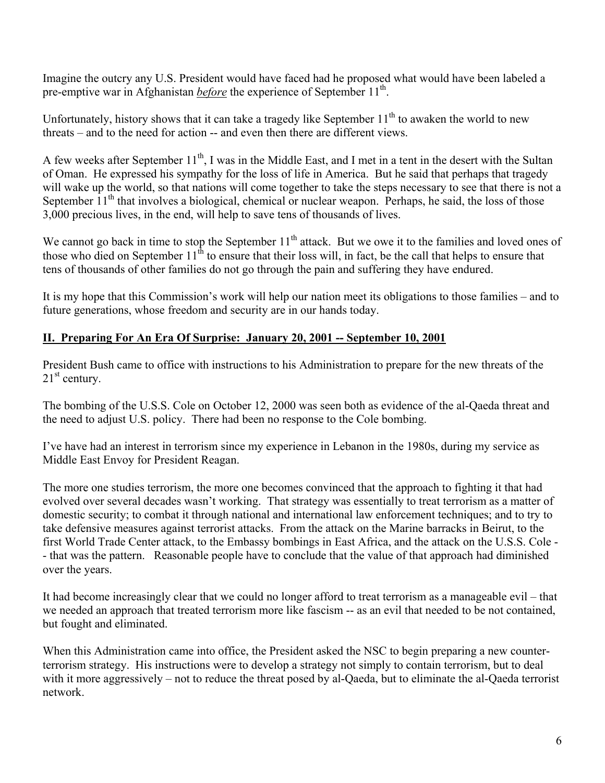Imagine the outcry any U.S. President would have faced had he proposed what would have been labeled a pre-emptive war in Afghanistan *before* the experience of September 11<sup>th</sup>.

Unfortunately, history shows that it can take a tragedy like September  $11<sup>th</sup>$  to awaken the world to new threats – and to the need for action -- and even then there are different views.

A few weeks after September 11<sup>th</sup>, I was in the Middle East, and I met in a tent in the desert with the Sultan of Oman. He expressed his sympathy for the loss of life in America. But he said that perhaps that tragedy will wake up the world, so that nations will come together to take the steps necessary to see that there is not a September  $11<sup>th</sup>$  that involves a biological, chemical or nuclear weapon. Perhaps, he said, the loss of those 3,000 precious lives, in the end, will help to save tens of thousands of lives.

We cannot go back in time to stop the September 11<sup>th</sup> attack. But we owe it to the families and loved ones of those who died on September  $11<sup>th</sup>$  to ensure that their loss will, in fact, be the call that helps to ensure that tens of thousands of other families do not go through the pain and suffering they have endured.

It is my hope that this Commission's work will help our nation meet its obligations to those families – and to future generations, whose freedom and security are in our hands today.

# **II. Preparing For An Era Of Surprise: January 20, 2001 -- September 10, 2001**

President Bush came to office with instructions to his Administration to prepare for the new threats of the  $21<sup>st</sup>$  century.

The bombing of the U.S.S. Cole on October 12, 2000 was seen both as evidence of the al-Qaeda threat and the need to adjust U.S. policy. There had been no response to the Cole bombing.

I've have had an interest in terrorism since my experience in Lebanon in the 1980s, during my service as Middle East Envoy for President Reagan.

The more one studies terrorism, the more one becomes convinced that the approach to fighting it that had evolved over several decades wasn't working. That strategy was essentially to treat terrorism as a matter of domestic security; to combat it through national and international law enforcement techniques; and to try to take defensive measures against terrorist attacks. From the attack on the Marine barracks in Beirut, to the first World Trade Center attack, to the Embassy bombings in East Africa, and the attack on the U.S.S. Cole - - that was the pattern. Reasonable people have to conclude that the value of that approach had diminished over the years.

It had become increasingly clear that we could no longer afford to treat terrorism as a manageable evil – that we needed an approach that treated terrorism more like fascism -- as an evil that needed to be not contained, but fought and eliminated.

When this Administration came into office, the President asked the NSC to begin preparing a new counterterrorism strategy. His instructions were to develop a strategy not simply to contain terrorism, but to deal with it more aggressively – not to reduce the threat posed by al-Qaeda, but to eliminate the al-Qaeda terrorist network.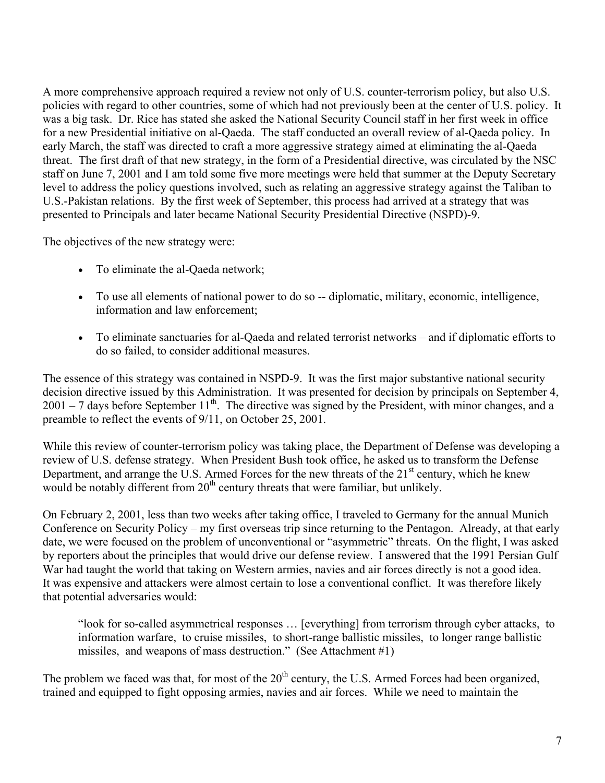A more comprehensive approach required a review not only of U.S. counter-terrorism policy, but also U.S. policies with regard to other countries, some of which had not previously been at the center of U.S. policy. It was a big task. Dr. Rice has stated she asked the National Security Council staff in her first week in office for a new Presidential initiative on al-Qaeda. The staff conducted an overall review of al-Qaeda policy. In early March, the staff was directed to craft a more aggressive strategy aimed at eliminating the al-Qaeda threat. The first draft of that new strategy, in the form of a Presidential directive, was circulated by the NSC staff on June 7, 2001 and I am told some five more meetings were held that summer at the Deputy Secretary level to address the policy questions involved, such as relating an aggressive strategy against the Taliban to U.S.-Pakistan relations. By the first week of September, this process had arrived at a strategy that was presented to Principals and later became National Security Presidential Directive (NSPD)-9.

The objectives of the new strategy were:

- To eliminate the al-Oaeda network;
- To use all elements of national power to do so -- diplomatic, military, economic, intelligence, information and law enforcement;
- To eliminate sanctuaries for al-Qaeda and related terrorist networks and if diplomatic efforts to do so failed, to consider additional measures.

The essence of this strategy was contained in NSPD-9. It was the first major substantive national security decision directive issued by this Administration. It was presented for decision by principals on September 4,  $2001 - 7$  days before September 11<sup>th</sup>. The directive was signed by the President, with minor changes, and a preamble to reflect the events of 9/11, on October 25, 2001.

While this review of counter-terrorism policy was taking place, the Department of Defense was developing a review of U.S. defense strategy. When President Bush took office, he asked us to transform the Defense Department, and arrange the U.S. Armed Forces for the new threats of the  $21<sup>st</sup>$  century, which he knew would be notably different from  $20<sup>th</sup>$  century threats that were familiar, but unlikely.

On February 2, 2001, less than two weeks after taking office, I traveled to Germany for the annual Munich Conference on Security Policy – my first overseas trip since returning to the Pentagon. Already, at that early date, we were focused on the problem of unconventional or "asymmetric" threats. On the flight, I was asked by reporters about the principles that would drive our defense review. I answered that the 1991 Persian Gulf War had taught the world that taking on Western armies, navies and air forces directly is not a good idea. It was expensive and attackers were almost certain to lose a conventional conflict. It was therefore likely that potential adversaries would:

"look for so-called asymmetrical responses … [everything] from terrorism through cyber attacks, to information warfare, to cruise missiles, to short-range ballistic missiles, to longer range ballistic missiles, and weapons of mass destruction." (See Attachment #1)

The problem we faced was that, for most of the 20<sup>th</sup> century, the U.S. Armed Forces had been organized, trained and equipped to fight opposing armies, navies and air forces. While we need to maintain the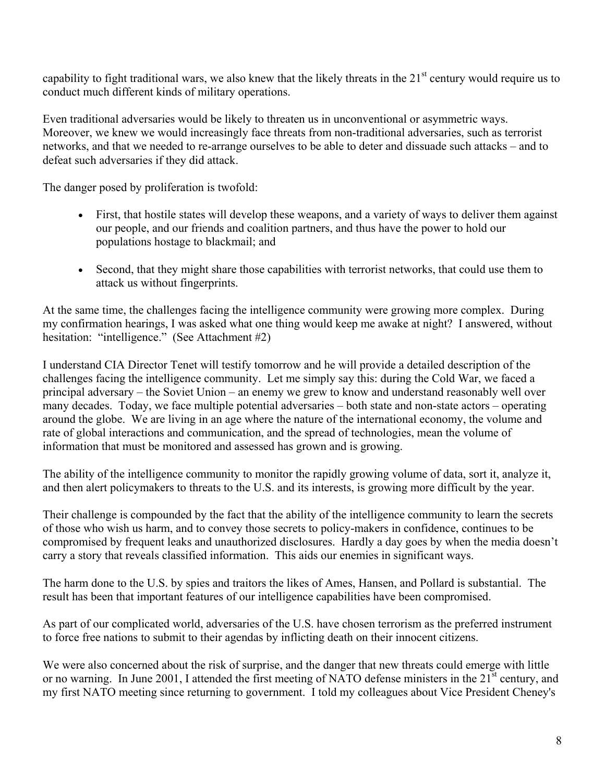capability to fight traditional wars, we also knew that the likely threats in the  $21<sup>st</sup>$  century would require us to conduct much different kinds of military operations.

Even traditional adversaries would be likely to threaten us in unconventional or asymmetric ways. Moreover, we knew we would increasingly face threats from non-traditional adversaries, such as terrorist networks, and that we needed to re-arrange ourselves to be able to deter and dissuade such attacks – and to defeat such adversaries if they did attack.

The danger posed by proliferation is twofold:

- First, that hostile states will develop these weapons, and a variety of ways to deliver them against our people, and our friends and coalition partners, and thus have the power to hold our populations hostage to blackmail; and
- Second, that they might share those capabilities with terrorist networks, that could use them to attack us without fingerprints.

At the same time, the challenges facing the intelligence community were growing more complex. During my confirmation hearings, I was asked what one thing would keep me awake at night? I answered, without hesitation: "intelligence." (See Attachment #2)

I understand CIA Director Tenet will testify tomorrow and he will provide a detailed description of the challenges facing the intelligence community. Let me simply say this: during the Cold War, we faced a principal adversary – the Soviet Union – an enemy we grew to know and understand reasonably well over many decades. Today, we face multiple potential adversaries – both state and non-state actors – operating around the globe. We are living in an age where the nature of the international economy, the volume and rate of global interactions and communication, and the spread of technologies, mean the volume of information that must be monitored and assessed has grown and is growing.

The ability of the intelligence community to monitor the rapidly growing volume of data, sort it, analyze it, and then alert policymakers to threats to the U.S. and its interests, is growing more difficult by the year.

Their challenge is compounded by the fact that the ability of the intelligence community to learn the secrets of those who wish us harm, and to convey those secrets to policy-makers in confidence, continues to be compromised by frequent leaks and unauthorized disclosures. Hardly a day goes by when the media doesn't carry a story that reveals classified information. This aids our enemies in significant ways.

The harm done to the U.S. by spies and traitors the likes of Ames, Hansen, and Pollard is substantial. The result has been that important features of our intelligence capabilities have been compromised.

As part of our complicated world, adversaries of the U.S. have chosen terrorism as the preferred instrument to force free nations to submit to their agendas by inflicting death on their innocent citizens.

We were also concerned about the risk of surprise, and the danger that new threats could emerge with little or no warning. In June 2001, I attended the first meeting of NATO defense ministers in the 21<sup>st</sup> century, and my first NATO meeting since returning to government. I told my colleagues about Vice President Cheney's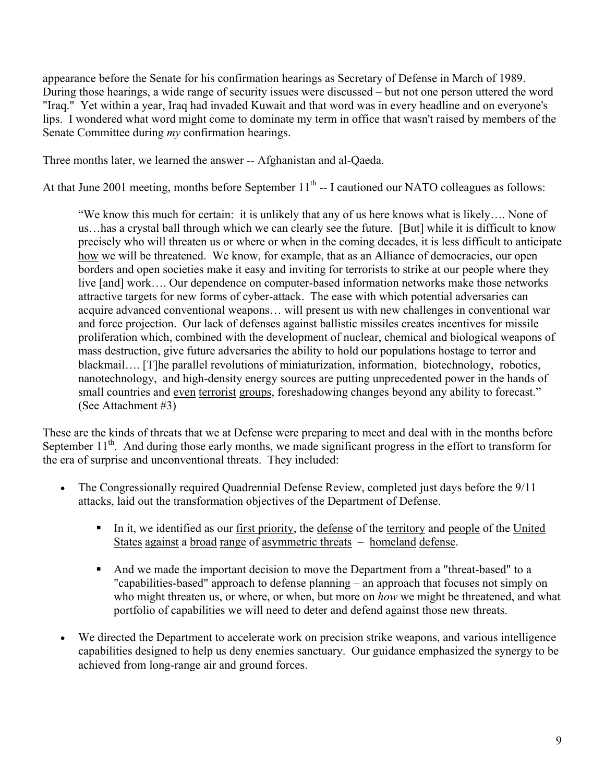appearance before the Senate for his confirmation hearings as Secretary of Defense in March of 1989. During those hearings, a wide range of security issues were discussed – but not one person uttered the word "Iraq." Yet within a year, Iraq had invaded Kuwait and that word was in every headline and on everyone's lips. I wondered what word might come to dominate my term in office that wasn't raised by members of the Senate Committee during *my* confirmation hearings.

Three months later, we learned the answer -- Afghanistan and al-Qaeda.

At that June 2001 meeting, months before September  $11<sup>th</sup>$  -- I cautioned our NATO colleagues as follows:

"We know this much for certain: it is unlikely that any of us here knows what is likely…. None of us…has a crystal ball through which we can clearly see the future. [But] while it is difficult to know precisely who will threaten us or where or when in the coming decades, it is less difficult to anticipate how we will be threatened. We know, for example, that as an Alliance of democracies, our open borders and open societies make it easy and inviting for terrorists to strike at our people where they live [and] work…. Our dependence on computer-based information networks make those networks attractive targets for new forms of cyber-attack. The ease with which potential adversaries can acquire advanced conventional weapons… will present us with new challenges in conventional war and force projection. Our lack of defenses against ballistic missiles creates incentives for missile proliferation which, combined with the development of nuclear, chemical and biological weapons of mass destruction, give future adversaries the ability to hold our populations hostage to terror and blackmail…. [T]he parallel revolutions of miniaturization, information, biotechnology, robotics, nanotechnology, and high-density energy sources are putting unprecedented power in the hands of small countries and even terrorist groups, foreshadowing changes beyond any ability to forecast." (See Attachment #3)

These are the kinds of threats that we at Defense were preparing to meet and deal with in the months before September  $11<sup>th</sup>$ . And during those early months, we made significant progress in the effort to transform for the era of surprise and unconventional threats. They included:

- The Congressionally required Quadrennial Defense Review, completed just days before the 9/11 attacks, laid out the transformation objectives of the Department of Defense.
	- In it, we identified as our first priority, the defense of the territory and people of the United States against a broad range of asymmetric threats – homeland defense.
	- And we made the important decision to move the Department from a "threat-based" to a "capabilities-based" approach to defense planning – an approach that focuses not simply on who might threaten us, or where, or when, but more on *how* we might be threatened, and what portfolio of capabilities we will need to deter and defend against those new threats.
- We directed the Department to accelerate work on precision strike weapons, and various intelligence capabilities designed to help us deny enemies sanctuary. Our guidance emphasized the synergy to be achieved from long-range air and ground forces.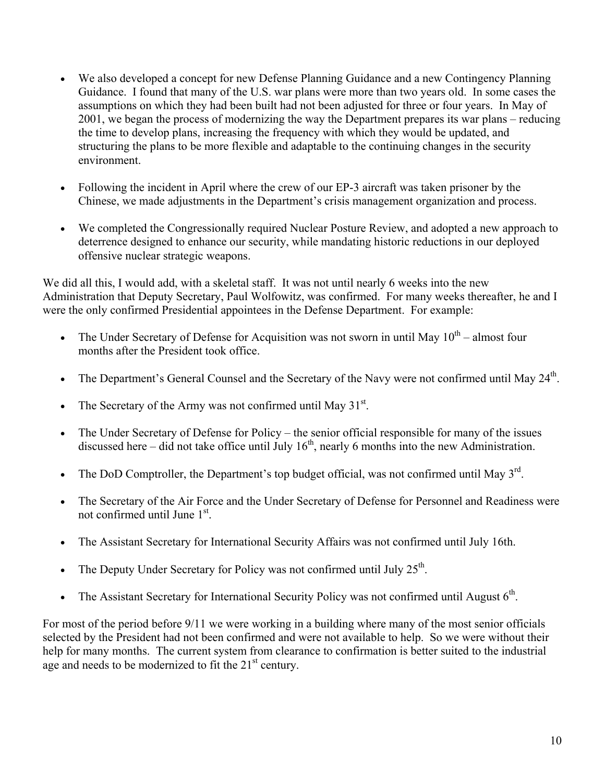- We also developed a concept for new Defense Planning Guidance and a new Contingency Planning Guidance. I found that many of the U.S. war plans were more than two years old. In some cases the assumptions on which they had been built had not been adjusted for three or four years. In May of 2001, we began the process of modernizing the way the Department prepares its war plans – reducing the time to develop plans, increasing the frequency with which they would be updated, and structuring the plans to be more flexible and adaptable to the continuing changes in the security environment.
- Following the incident in April where the crew of our EP-3 aircraft was taken prisoner by the Chinese, we made adjustments in the Department's crisis management organization and process.
- We completed the Congressionally required Nuclear Posture Review, and adopted a new approach to deterrence designed to enhance our security, while mandating historic reductions in our deployed offensive nuclear strategic weapons.

We did all this, I would add, with a skeletal staff. It was not until nearly 6 weeks into the new Administration that Deputy Secretary, Paul Wolfowitz, was confirmed. For many weeks thereafter, he and I were the only confirmed Presidential appointees in the Defense Department. For example:

- The Under Secretary of Defense for Acquisition was not sworn in until May  $10^{th}$  almost four months after the President took office.
- The Department's General Counsel and the Secretary of the Navy were not confirmed until May 24<sup>th</sup>.
- The Secretary of the Army was not confirmed until May  $31<sup>st</sup>$ .
- The Under Secretary of Defense for Policy the senior official responsible for many of the issues discussed here – did not take office until July  $16<sup>th</sup>$ , nearly 6 months into the new Administration.
- The DoD Comptroller, the Department's top budget official, was not confirmed until May  $3^{rd}$ .
- The Secretary of the Air Force and the Under Secretary of Defense for Personnel and Readiness were not confirmed until June 1<sup>st</sup>.
- The Assistant Secretary for International Security Affairs was not confirmed until July 16th.
- The Deputy Under Secretary for Policy was not confirmed until July  $25<sup>th</sup>$ .
- The Assistant Secretary for International Security Policy was not confirmed until August  $6<sup>th</sup>$ .

For most of the period before 9/11 we were working in a building where many of the most senior officials selected by the President had not been confirmed and were not available to help. So we were without their help for many months. The current system from clearance to confirmation is better suited to the industrial age and needs to be modernized to fit the  $21<sup>st</sup>$  century.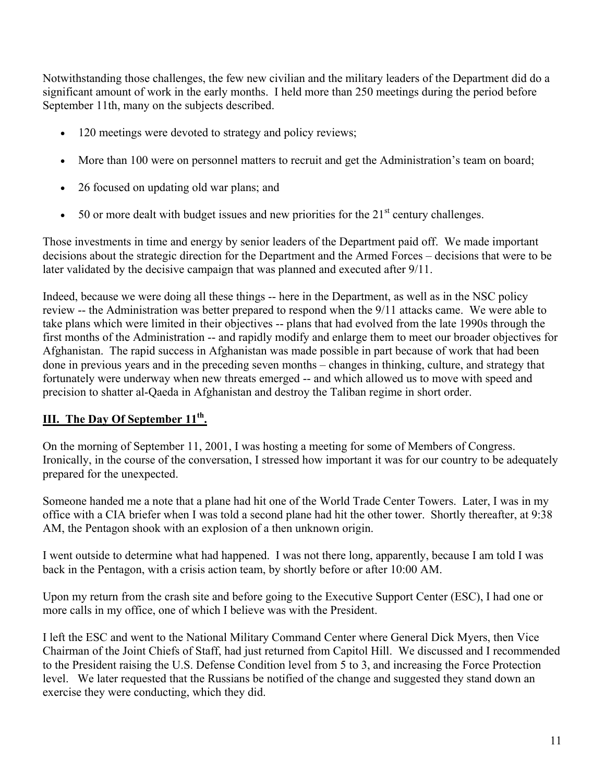Notwithstanding those challenges, the few new civilian and the military leaders of the Department did do a significant amount of work in the early months. I held more than 250 meetings during the period before September 11th, many on the subjects described.

- 120 meetings were devoted to strategy and policy reviews;
- More than 100 were on personnel matters to recruit and get the Administration's team on board;
- 26 focused on updating old war plans; and
- 50 or more dealt with budget issues and new priorities for the  $21<sup>st</sup>$  century challenges.

Those investments in time and energy by senior leaders of the Department paid off. We made important decisions about the strategic direction for the Department and the Armed Forces – decisions that were to be later validated by the decisive campaign that was planned and executed after 9/11.

Indeed, because we were doing all these things -- here in the Department, as well as in the NSC policy review -- the Administration was better prepared to respond when the 9/11 attacks came. We were able to take plans which were limited in their objectives -- plans that had evolved from the late 1990s through the first months of the Administration -- and rapidly modify and enlarge them to meet our broader objectives for Afghanistan. The rapid success in Afghanistan was made possible in part because of work that had been done in previous years and in the preceding seven months – changes in thinking, culture, and strategy that fortunately were underway when new threats emerged -- and which allowed us to move with speed and precision to shatter al-Qaeda in Afghanistan and destroy the Taliban regime in short order.

# **III.** The Day Of September 11<sup>th</sup>.

On the morning of September 11, 2001, I was hosting a meeting for some of Members of Congress. Ironically, in the course of the conversation, I stressed how important it was for our country to be adequately prepared for the unexpected.

Someone handed me a note that a plane had hit one of the World Trade Center Towers. Later, I was in my office with a CIA briefer when I was told a second plane had hit the other tower. Shortly thereafter, at 9:38 AM, the Pentagon shook with an explosion of a then unknown origin.

I went outside to determine what had happened. I was not there long, apparently, because I am told I was back in the Pentagon, with a crisis action team, by shortly before or after 10:00 AM.

Upon my return from the crash site and before going to the Executive Support Center (ESC), I had one or more calls in my office, one of which I believe was with the President.

I left the ESC and went to the National Military Command Center where General Dick Myers, then Vice Chairman of the Joint Chiefs of Staff, had just returned from Capitol Hill. We discussed and I recommended to the President raising the U.S. Defense Condition level from 5 to 3, and increasing the Force Protection level. We later requested that the Russians be notified of the change and suggested they stand down an exercise they were conducting, which they did.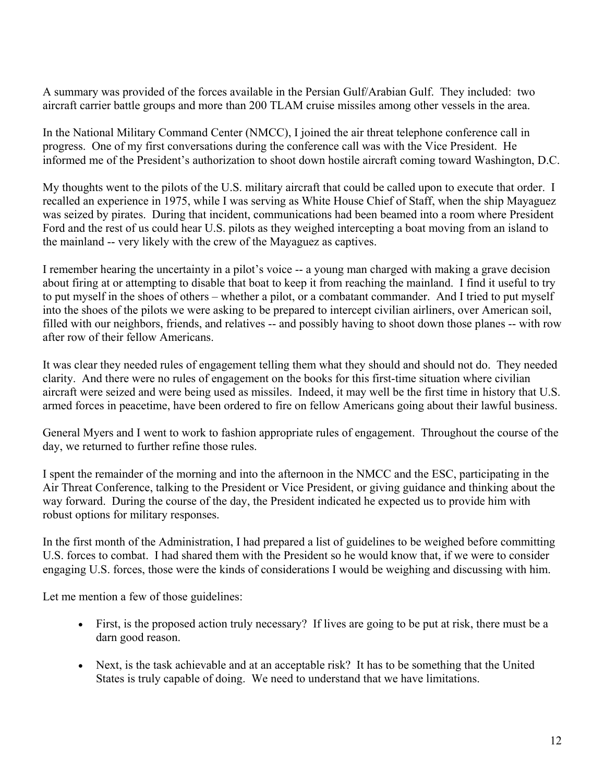A summary was provided of the forces available in the Persian Gulf/Arabian Gulf. They included: two aircraft carrier battle groups and more than 200 TLAM cruise missiles among other vessels in the area.

In the National Military Command Center (NMCC), I joined the air threat telephone conference call in progress. One of my first conversations during the conference call was with the Vice President. He informed me of the President's authorization to shoot down hostile aircraft coming toward Washington, D.C.

My thoughts went to the pilots of the U.S. military aircraft that could be called upon to execute that order. I recalled an experience in 1975, while I was serving as White House Chief of Staff, when the ship Mayaguez was seized by pirates. During that incident, communications had been beamed into a room where President Ford and the rest of us could hear U.S. pilots as they weighed intercepting a boat moving from an island to the mainland -- very likely with the crew of the Mayaguez as captives.

I remember hearing the uncertainty in a pilot's voice -- a young man charged with making a grave decision about firing at or attempting to disable that boat to keep it from reaching the mainland. I find it useful to try to put myself in the shoes of others – whether a pilot, or a combatant commander. And I tried to put myself into the shoes of the pilots we were asking to be prepared to intercept civilian airliners, over American soil, filled with our neighbors, friends, and relatives -- and possibly having to shoot down those planes -- with row after row of their fellow Americans.

It was clear they needed rules of engagement telling them what they should and should not do. They needed clarity. And there were no rules of engagement on the books for this first-time situation where civilian aircraft were seized and were being used as missiles. Indeed, it may well be the first time in history that U.S. armed forces in peacetime, have been ordered to fire on fellow Americans going about their lawful business.

General Myers and I went to work to fashion appropriate rules of engagement. Throughout the course of the day, we returned to further refine those rules.

I spent the remainder of the morning and into the afternoon in the NMCC and the ESC, participating in the Air Threat Conference, talking to the President or Vice President, or giving guidance and thinking about the way forward. During the course of the day, the President indicated he expected us to provide him with robust options for military responses.

In the first month of the Administration, I had prepared a list of guidelines to be weighed before committing U.S. forces to combat. I had shared them with the President so he would know that, if we were to consider engaging U.S. forces, those were the kinds of considerations I would be weighing and discussing with him.

Let me mention a few of those guidelines:

- First, is the proposed action truly necessary? If lives are going to be put at risk, there must be a darn good reason.
- Next, is the task achievable and at an acceptable risk? It has to be something that the United States is truly capable of doing. We need to understand that we have limitations.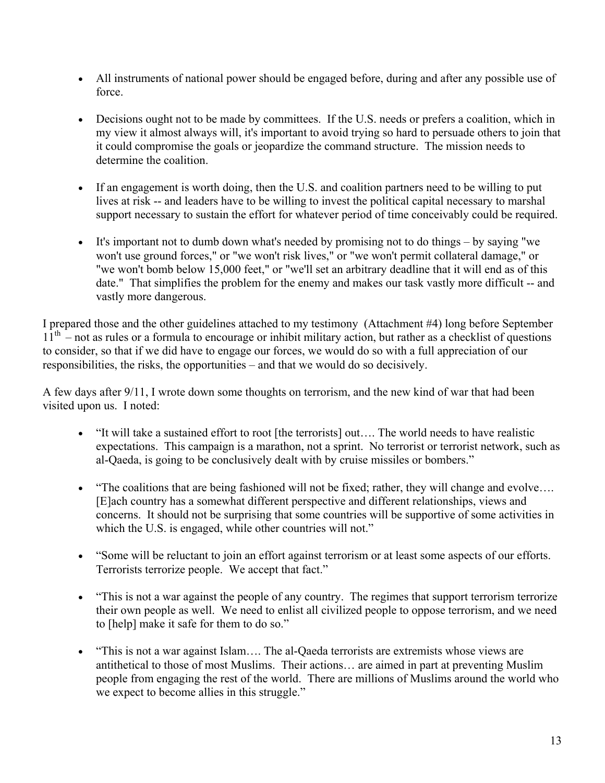- All instruments of national power should be engaged before, during and after any possible use of force.
- Decisions ought not to be made by committees. If the U.S. needs or prefers a coalition, which in my view it almost always will, it's important to avoid trying so hard to persuade others to join that it could compromise the goals or jeopardize the command structure. The mission needs to determine the coalition.
- If an engagement is worth doing, then the U.S. and coalition partners need to be willing to put lives at risk -- and leaders have to be willing to invest the political capital necessary to marshal support necessary to sustain the effort for whatever period of time conceivably could be required.
- It's important not to dumb down what's needed by promising not to do things by saying "we won't use ground forces," or "we won't risk lives," or "we won't permit collateral damage," or "we won't bomb below 15,000 feet," or "we'll set an arbitrary deadline that it will end as of this date." That simplifies the problem for the enemy and makes our task vastly more difficult -- and vastly more dangerous.

I prepared those and the other guidelines attached to my testimony (Attachment #4) long before September  $11<sup>th</sup>$  – not as rules or a formula to encourage or inhibit military action, but rather as a checklist of questions to consider, so that if we did have to engage our forces, we would do so with a full appreciation of our responsibilities, the risks, the opportunities – and that we would do so decisively.

A few days after 9/11, I wrote down some thoughts on terrorism, and the new kind of war that had been visited upon us. I noted:

- "It will take a sustained effort to root [the terrorists] out.... The world needs to have realistic expectations. This campaign is a marathon, not a sprint. No terrorist or terrorist network, such as al-Qaeda, is going to be conclusively dealt with by cruise missiles or bombers."
- "The coalitions that are being fashioned will not be fixed; rather, they will change and evolve.... [E]ach country has a somewhat different perspective and different relationships, views and concerns. It should not be surprising that some countries will be supportive of some activities in which the U.S. is engaged, while other countries will not."
- "Some will be reluctant to join an effort against terrorism or at least some aspects of our efforts. Terrorists terrorize people. We accept that fact."
- "This is not a war against the people of any country. The regimes that support terrorism terrorize their own people as well. We need to enlist all civilized people to oppose terrorism, and we need to [help] make it safe for them to do so."
- "This is not a war against Islam.... The al-Qaeda terrorists are extremists whose views are antithetical to those of most Muslims. Their actions… are aimed in part at preventing Muslim people from engaging the rest of the world. There are millions of Muslims around the world who we expect to become allies in this struggle."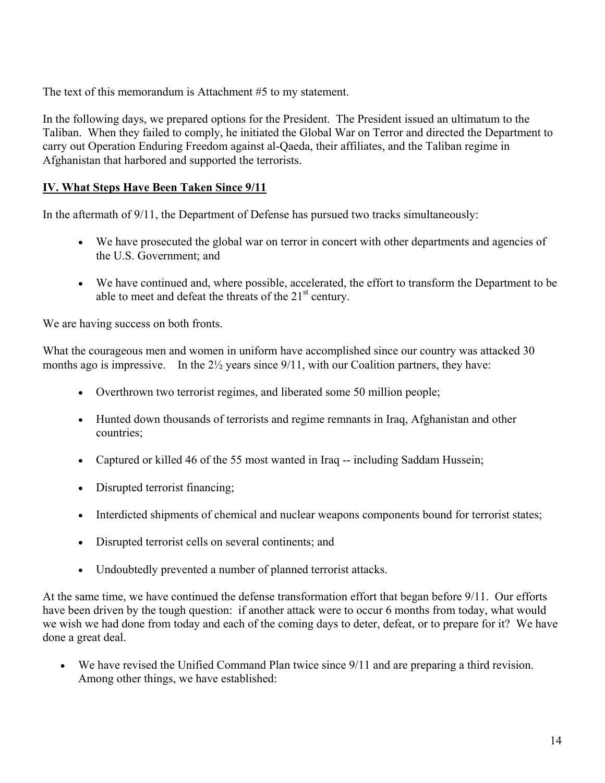The text of this memorandum is Attachment #5 to my statement.

In the following days, we prepared options for the President. The President issued an ultimatum to the Taliban. When they failed to comply, he initiated the Global War on Terror and directed the Department to carry out Operation Enduring Freedom against al-Qaeda, their affiliates, and the Taliban regime in Afghanistan that harbored and supported the terrorists.

# **IV. What Steps Have Been Taken Since 9/11**

In the aftermath of 9/11, the Department of Defense has pursued two tracks simultaneously:

- We have prosecuted the global war on terror in concert with other departments and agencies of the U.S. Government; and
- We have continued and, where possible, accelerated, the effort to transform the Department to be able to meet and defeat the threats of the  $21<sup>st</sup>$  century.

We are having success on both fronts.

What the courageous men and women in uniform have accomplished since our country was attacked 30 months ago is impressive. In the 2<sup>1/2</sup> years since 9/11, with our Coalition partners, they have:

- Overthrown two terrorist regimes, and liberated some 50 million people;
- Hunted down thousands of terrorists and regime remnants in Iraq, Afghanistan and other countries;
- Captured or killed 46 of the 55 most wanted in Iraq -- including Saddam Hussein;
- Disrupted terrorist financing;
- Interdicted shipments of chemical and nuclear weapons components bound for terrorist states;
- Disrupted terrorist cells on several continents; and
- Undoubtedly prevented a number of planned terrorist attacks.

At the same time, we have continued the defense transformation effort that began before 9/11. Our efforts have been driven by the tough question: if another attack were to occur 6 months from today, what would we wish we had done from today and each of the coming days to deter, defeat, or to prepare for it? We have done a great deal.

• We have revised the Unified Command Plan twice since 9/11 and are preparing a third revision. Among other things, we have established: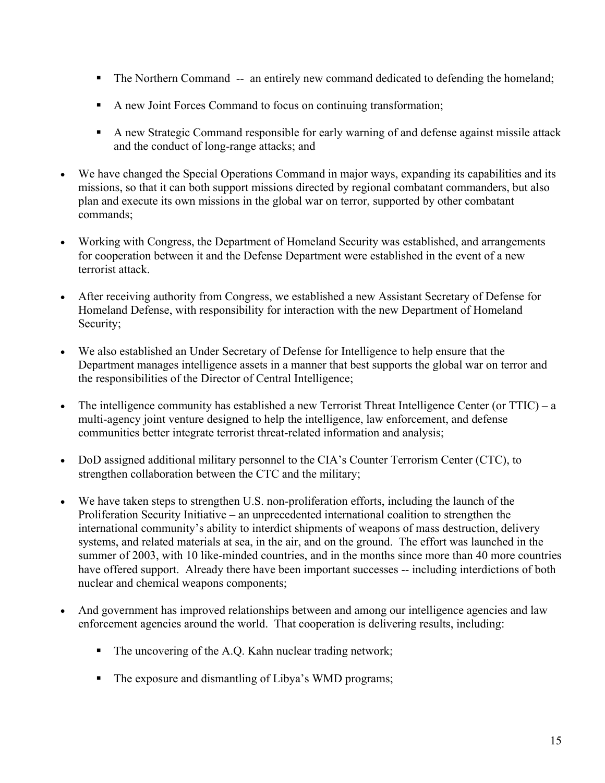- The Northern Command -- an entirely new command dedicated to defending the homeland;
- A new Joint Forces Command to focus on continuing transformation;
- A new Strategic Command responsible for early warning of and defense against missile attack and the conduct of long-range attacks; and
- We have changed the Special Operations Command in major ways, expanding its capabilities and its missions, so that it can both support missions directed by regional combatant commanders, but also plan and execute its own missions in the global war on terror, supported by other combatant commands;
- Working with Congress, the Department of Homeland Security was established, and arrangements for cooperation between it and the Defense Department were established in the event of a new terrorist attack.
- After receiving authority from Congress, we established a new Assistant Secretary of Defense for Homeland Defense, with responsibility for interaction with the new Department of Homeland Security;
- We also established an Under Secretary of Defense for Intelligence to help ensure that the Department manages intelligence assets in a manner that best supports the global war on terror and the responsibilities of the Director of Central Intelligence;
- The intelligence community has established a new Terrorist Threat Intelligence Center (or TTIC) a multi-agency joint venture designed to help the intelligence, law enforcement, and defense communities better integrate terrorist threat-related information and analysis;
- DoD assigned additional military personnel to the CIA's Counter Terrorism Center (CTC), to strengthen collaboration between the CTC and the military;
- We have taken steps to strengthen U.S. non-proliferation efforts, including the launch of the Proliferation Security Initiative – an unprecedented international coalition to strengthen the international community's ability to interdict shipments of weapons of mass destruction, delivery systems, and related materials at sea, in the air, and on the ground. The effort was launched in the summer of 2003, with 10 like-minded countries, and in the months since more than 40 more countries have offered support. Already there have been important successes -- including interdictions of both nuclear and chemical weapons components;
- And government has improved relationships between and among our intelligence agencies and law enforcement agencies around the world. That cooperation is delivering results, including:
	- The uncovering of the A.Q. Kahn nuclear trading network;
	- The exposure and dismantling of Libya's WMD programs;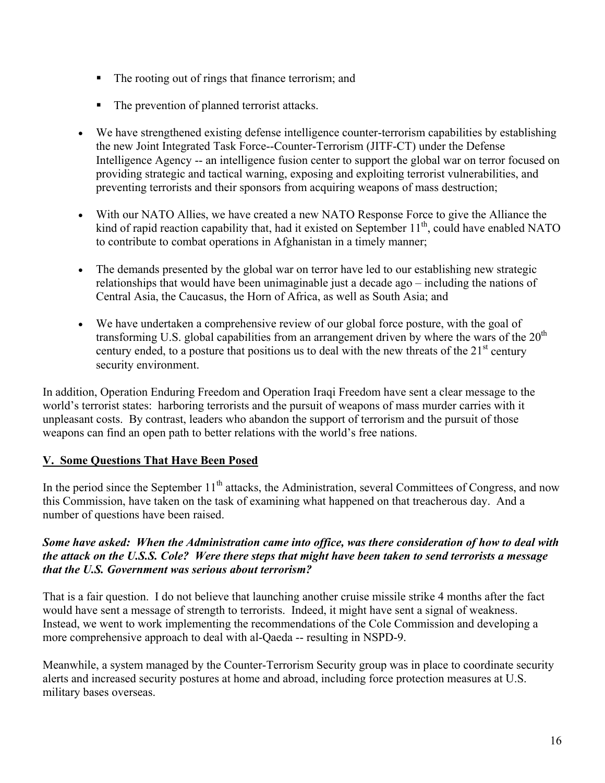- The rooting out of rings that finance terrorism; and
- The prevention of planned terrorist attacks.
- We have strengthened existing defense intelligence counter-terrorism capabilities by establishing the new Joint Integrated Task Force--Counter-Terrorism (JITF-CT) under the Defense Intelligence Agency -- an intelligence fusion center to support the global war on terror focused on providing strategic and tactical warning, exposing and exploiting terrorist vulnerabilities, and preventing terrorists and their sponsors from acquiring weapons of mass destruction;
- With our NATO Allies, we have created a new NATO Response Force to give the Alliance the kind of rapid reaction capability that, had it existed on September 11<sup>th</sup>, could have enabled NATO to contribute to combat operations in Afghanistan in a timely manner;
- The demands presented by the global war on terror have led to our establishing new strategic relationships that would have been unimaginable just a decade ago – including the nations of Central Asia, the Caucasus, the Horn of Africa, as well as South Asia; and
- We have undertaken a comprehensive review of our global force posture, with the goal of transforming U.S. global capabilities from an arrangement driven by where the wars of the  $20<sup>th</sup>$ century ended, to a posture that positions us to deal with the new threats of the  $21<sup>st</sup>$  century security environment.

In addition, Operation Enduring Freedom and Operation Iraqi Freedom have sent a clear message to the world's terrorist states: harboring terrorists and the pursuit of weapons of mass murder carries with it unpleasant costs. By contrast, leaders who abandon the support of terrorism and the pursuit of those weapons can find an open path to better relations with the world's free nations.

# **V. Some Questions That Have Been Posed**

In the period since the September 11<sup>th</sup> attacks, the Administration, several Committees of Congress, and now this Commission, have taken on the task of examining what happened on that treacherous day. And a number of questions have been raised.

#### *Some have asked: When the Administration came into office, was there consideration of how to deal with the attack on the U.S.S. Cole? Were there steps that might have been taken to send terrorists a message that the U.S. Government was serious about terrorism?*

That is a fair question. I do not believe that launching another cruise missile strike 4 months after the fact would have sent a message of strength to terrorists. Indeed, it might have sent a signal of weakness. Instead, we went to work implementing the recommendations of the Cole Commission and developing a more comprehensive approach to deal with al-Qaeda -- resulting in NSPD-9.

Meanwhile, a system managed by the Counter-Terrorism Security group was in place to coordinate security alerts and increased security postures at home and abroad, including force protection measures at U.S. military bases overseas.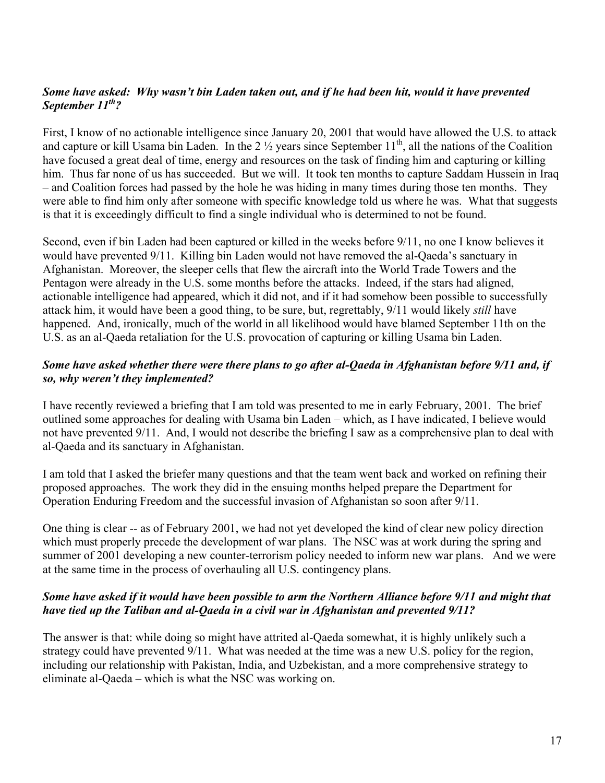# *Some have asked: Why wasn't bin Laden taken out, and if he had been hit, would it have prevented September 11th?*

First, I know of no actionable intelligence since January 20, 2001 that would have allowed the U.S. to attack and capture or kill Usama bin Laden. In the 2  $\frac{1}{2}$  years since September 11<sup>th</sup>, all the nations of the Coalition have focused a great deal of time, energy and resources on the task of finding him and capturing or killing him. Thus far none of us has succeeded. But we will. It took ten months to capture Saddam Hussein in Iraq – and Coalition forces had passed by the hole he was hiding in many times during those ten months. They were able to find him only after someone with specific knowledge told us where he was. What that suggests is that it is exceedingly difficult to find a single individual who is determined to not be found.

Second, even if bin Laden had been captured or killed in the weeks before 9/11, no one I know believes it would have prevented 9/11. Killing bin Laden would not have removed the al-Qaeda's sanctuary in Afghanistan. Moreover, the sleeper cells that flew the aircraft into the World Trade Towers and the Pentagon were already in the U.S. some months before the attacks. Indeed, if the stars had aligned, actionable intelligence had appeared, which it did not, and if it had somehow been possible to successfully attack him, it would have been a good thing, to be sure, but, regrettably, 9/11 would likely *still* have happened. And, ironically, much of the world in all likelihood would have blamed September 11th on the U.S. as an al-Qaeda retaliation for the U.S. provocation of capturing or killing Usama bin Laden.

# *Some have asked whether there were there plans to go after al-Qaeda in Afghanistan before 9/11 and, if so, why weren't they implemented?*

I have recently reviewed a briefing that I am told was presented to me in early February, 2001. The brief outlined some approaches for dealing with Usama bin Laden – which, as I have indicated, I believe would not have prevented 9/11. And, I would not describe the briefing I saw as a comprehensive plan to deal with al-Qaeda and its sanctuary in Afghanistan.

I am told that I asked the briefer many questions and that the team went back and worked on refining their proposed approaches. The work they did in the ensuing months helped prepare the Department for Operation Enduring Freedom and the successful invasion of Afghanistan so soon after 9/11.

One thing is clear -- as of February 2001, we had not yet developed the kind of clear new policy direction which must properly precede the development of war plans. The NSC was at work during the spring and summer of 2001 developing a new counter-terrorism policy needed to inform new war plans. And we were at the same time in the process of overhauling all U.S. contingency plans.

## *Some have asked if it would have been possible to arm the Northern Alliance before 9/11 and might that have tied up the Taliban and al-Qaeda in a civil war in Afghanistan and prevented 9/11?*

The answer is that: while doing so might have attrited al-Qaeda somewhat, it is highly unlikely such a strategy could have prevented 9/11. What was needed at the time was a new U.S. policy for the region, including our relationship with Pakistan, India, and Uzbekistan, and a more comprehensive strategy to eliminate al-Qaeda – which is what the NSC was working on.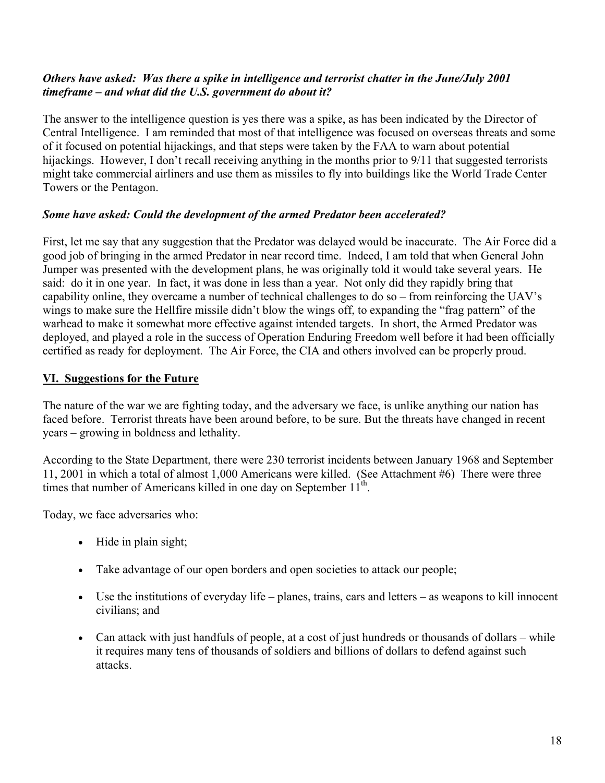#### *Others have asked: Was there a spike in intelligence and terrorist chatter in the June/July 2001 timeframe – and what did the U.S. government do about it?*

The answer to the intelligence question is yes there was a spike, as has been indicated by the Director of Central Intelligence. I am reminded that most of that intelligence was focused on overseas threats and some of it focused on potential hijackings, and that steps were taken by the FAA to warn about potential hijackings. However, I don't recall receiving anything in the months prior to 9/11 that suggested terrorists might take commercial airliners and use them as missiles to fly into buildings like the World Trade Center Towers or the Pentagon.

## *Some have asked: Could the development of the armed Predator been accelerated?*

First, let me say that any suggestion that the Predator was delayed would be inaccurate. The Air Force did a good job of bringing in the armed Predator in near record time. Indeed, I am told that when General John Jumper was presented with the development plans, he was originally told it would take several years. He said: do it in one year. In fact, it was done in less than a year. Not only did they rapidly bring that capability online, they overcame a number of technical challenges to do so – from reinforcing the UAV's wings to make sure the Hellfire missile didn't blow the wings off, to expanding the "frag pattern" of the warhead to make it somewhat more effective against intended targets. In short, the Armed Predator was deployed, and played a role in the success of Operation Enduring Freedom well before it had been officially certified as ready for deployment. The Air Force, the CIA and others involved can be properly proud.

## **VI. Suggestions for the Future**

The nature of the war we are fighting today, and the adversary we face, is unlike anything our nation has faced before. Terrorist threats have been around before, to be sure. But the threats have changed in recent years – growing in boldness and lethality.

According to the State Department, there were 230 terrorist incidents between January 1968 and September 11, 2001 in which a total of almost 1,000 Americans were killed. (See Attachment #6) There were three times that number of Americans killed in one day on September  $11<sup>th</sup>$ .

Today, we face adversaries who:

- Hide in plain sight;
- Take advantage of our open borders and open societies to attack our people;
- Use the institutions of everyday life planes, trains, cars and letters as weapons to kill innocent civilians; and
- Can attack with just handfuls of people, at a cost of just hundreds or thousands of dollars while it requires many tens of thousands of soldiers and billions of dollars to defend against such attacks.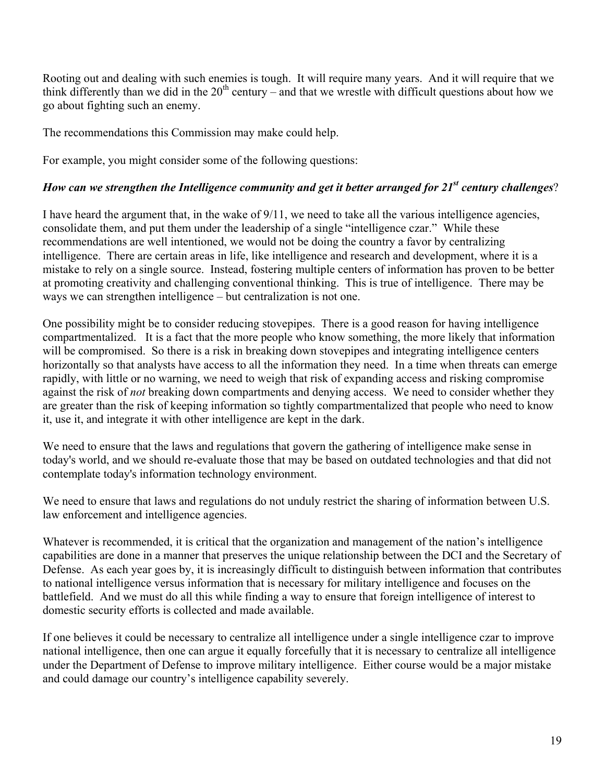Rooting out and dealing with such enemies is tough. It will require many years. And it will require that we think differently than we did in the  $20<sup>th</sup>$  century – and that we wrestle with difficult questions about how we go about fighting such an enemy.

The recommendations this Commission may make could help.

For example, you might consider some of the following questions:

# *How can we strengthen the Intelligence community and get it better arranged for 21st century challenges*?

I have heard the argument that, in the wake of 9/11, we need to take all the various intelligence agencies, consolidate them, and put them under the leadership of a single "intelligence czar." While these recommendations are well intentioned, we would not be doing the country a favor by centralizing intelligence. There are certain areas in life, like intelligence and research and development, where it is a mistake to rely on a single source. Instead, fostering multiple centers of information has proven to be better at promoting creativity and challenging conventional thinking. This is true of intelligence. There may be ways we can strengthen intelligence – but centralization is not one.

One possibility might be to consider reducing stovepipes. There is a good reason for having intelligence compartmentalized. It is a fact that the more people who know something, the more likely that information will be compromised. So there is a risk in breaking down stovepipes and integrating intelligence centers horizontally so that analysts have access to all the information they need. In a time when threats can emerge rapidly, with little or no warning, we need to weigh that risk of expanding access and risking compromise against the risk of *not* breaking down compartments and denying access. We need to consider whether they are greater than the risk of keeping information so tightly compartmentalized that people who need to know it, use it, and integrate it with other intelligence are kept in the dark.

We need to ensure that the laws and regulations that govern the gathering of intelligence make sense in today's world, and we should re-evaluate those that may be based on outdated technologies and that did not contemplate today's information technology environment.

We need to ensure that laws and regulations do not unduly restrict the sharing of information between U.S. law enforcement and intelligence agencies.

Whatever is recommended, it is critical that the organization and management of the nation's intelligence capabilities are done in a manner that preserves the unique relationship between the DCI and the Secretary of Defense. As each year goes by, it is increasingly difficult to distinguish between information that contributes to national intelligence versus information that is necessary for military intelligence and focuses on the battlefield. And we must do all this while finding a way to ensure that foreign intelligence of interest to domestic security efforts is collected and made available.

If one believes it could be necessary to centralize all intelligence under a single intelligence czar to improve national intelligence, then one can argue it equally forcefully that it is necessary to centralize all intelligence under the Department of Defense to improve military intelligence. Either course would be a major mistake and could damage our country's intelligence capability severely.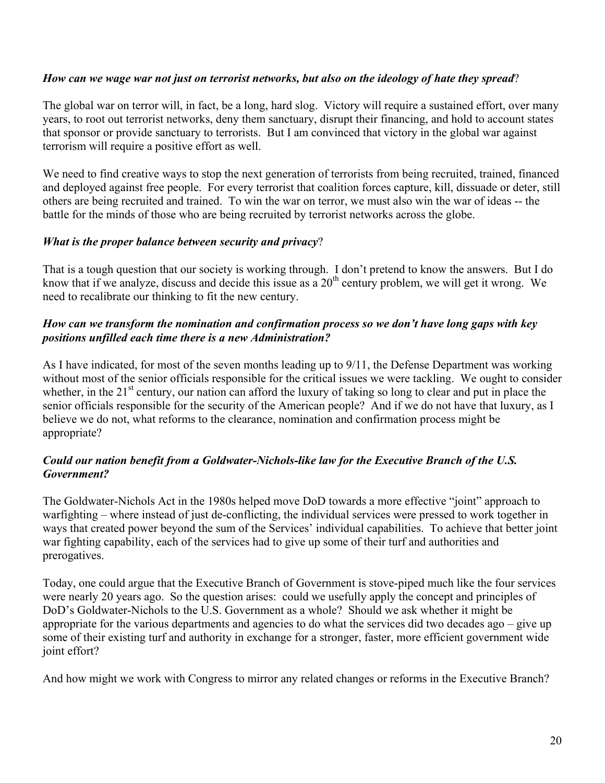#### *How can we wage war not just on terrorist networks, but also on the ideology of hate they spread*?

The global war on terror will, in fact, be a long, hard slog. Victory will require a sustained effort, over many years, to root out terrorist networks, deny them sanctuary, disrupt their financing, and hold to account states that sponsor or provide sanctuary to terrorists. But I am convinced that victory in the global war against terrorism will require a positive effort as well.

We need to find creative ways to stop the next generation of terrorists from being recruited, trained, financed and deployed against free people. For every terrorist that coalition forces capture, kill, dissuade or deter, still others are being recruited and trained. To win the war on terror, we must also win the war of ideas -- the battle for the minds of those who are being recruited by terrorist networks across the globe.

#### *What is the proper balance between security and privacy*?

That is a tough question that our society is working through. I don't pretend to know the answers. But I do know that if we analyze, discuss and decide this issue as a  $20<sup>th</sup>$  century problem, we will get it wrong. We need to recalibrate our thinking to fit the new century.

#### *How can we transform the nomination and confirmation process so we don't have long gaps with key positions unfilled each time there is a new Administration?*

As I have indicated, for most of the seven months leading up to 9/11, the Defense Department was working without most of the senior officials responsible for the critical issues we were tackling. We ought to consider whether, in the  $21<sup>st</sup>$  century, our nation can afford the luxury of taking so long to clear and put in place the senior officials responsible for the security of the American people? And if we do not have that luxury, as I believe we do not, what reforms to the clearance, nomination and confirmation process might be appropriate?

#### *Could our nation benefit from a Goldwater-Nichols-like law for the Executive Branch of the U.S. Government?*

The Goldwater-Nichols Act in the 1980s helped move DoD towards a more effective "joint" approach to warfighting – where instead of just de-conflicting, the individual services were pressed to work together in ways that created power beyond the sum of the Services' individual capabilities. To achieve that better joint war fighting capability, each of the services had to give up some of their turf and authorities and prerogatives.

Today, one could argue that the Executive Branch of Government is stove-piped much like the four services were nearly 20 years ago. So the question arises: could we usefully apply the concept and principles of DoD's Goldwater-Nichols to the U.S. Government as a whole? Should we ask whether it might be appropriate for the various departments and agencies to do what the services did two decades ago – give up some of their existing turf and authority in exchange for a stronger, faster, more efficient government wide joint effort?

And how might we work with Congress to mirror any related changes or reforms in the Executive Branch?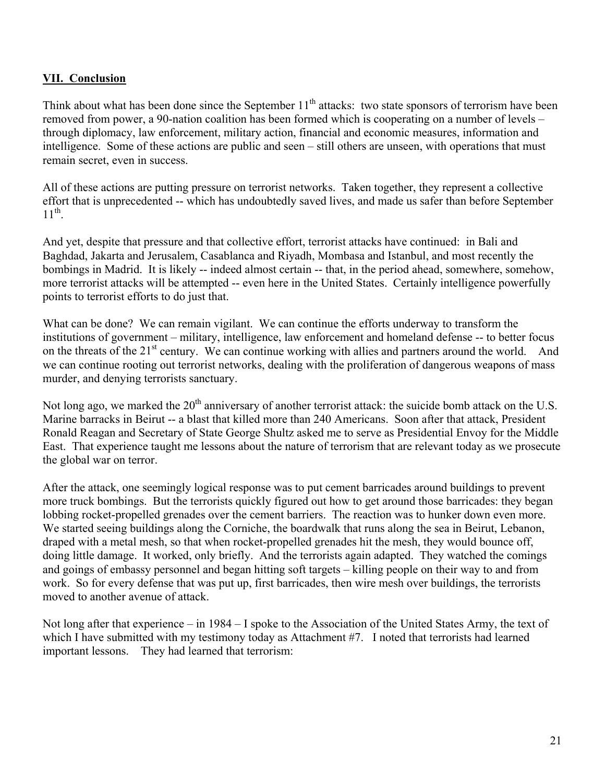#### **VII. Conclusion**

Think about what has been done since the September  $11<sup>th</sup>$  attacks: two state sponsors of terrorism have been removed from power, a 90-nation coalition has been formed which is cooperating on a number of levels – through diplomacy, law enforcement, military action, financial and economic measures, information and intelligence. Some of these actions are public and seen – still others are unseen, with operations that must remain secret, even in success.

All of these actions are putting pressure on terrorist networks. Taken together, they represent a collective effort that is unprecedented -- which has undoubtedly saved lives, and made us safer than before September 11<sup>th</sup>.

And yet, despite that pressure and that collective effort, terrorist attacks have continued: in Bali and Baghdad, Jakarta and Jerusalem, Casablanca and Riyadh, Mombasa and Istanbul, and most recently the bombings in Madrid. It is likely -- indeed almost certain -- that, in the period ahead, somewhere, somehow, more terrorist attacks will be attempted -- even here in the United States. Certainly intelligence powerfully points to terrorist efforts to do just that.

What can be done? We can remain vigilant. We can continue the efforts underway to transform the institutions of government – military, intelligence, law enforcement and homeland defense -- to better focus on the threats of the 21<sup>st</sup> century. We can continue working with allies and partners around the world. And we can continue rooting out terrorist networks, dealing with the proliferation of dangerous weapons of mass murder, and denying terrorists sanctuary.

Not long ago, we marked the 20<sup>th</sup> anniversary of another terrorist attack: the suicide bomb attack on the U.S. Marine barracks in Beirut -- a blast that killed more than 240 Americans. Soon after that attack, President Ronald Reagan and Secretary of State George Shultz asked me to serve as Presidential Envoy for the Middle East. That experience taught me lessons about the nature of terrorism that are relevant today as we prosecute the global war on terror.

After the attack, one seemingly logical response was to put cement barricades around buildings to prevent more truck bombings. But the terrorists quickly figured out how to get around those barricades: they began lobbing rocket-propelled grenades over the cement barriers. The reaction was to hunker down even more. We started seeing buildings along the Corniche, the boardwalk that runs along the sea in Beirut, Lebanon, draped with a metal mesh, so that when rocket-propelled grenades hit the mesh, they would bounce off, doing little damage. It worked, only briefly. And the terrorists again adapted. They watched the comings and goings of embassy personnel and began hitting soft targets – killing people on their way to and from work. So for every defense that was put up, first barricades, then wire mesh over buildings, the terrorists moved to another avenue of attack.

Not long after that experience – in 1984 – I spoke to the Association of the United States Army, the text of which I have submitted with my testimony today as Attachment #7. I noted that terrorists had learned important lessons. They had learned that terrorism: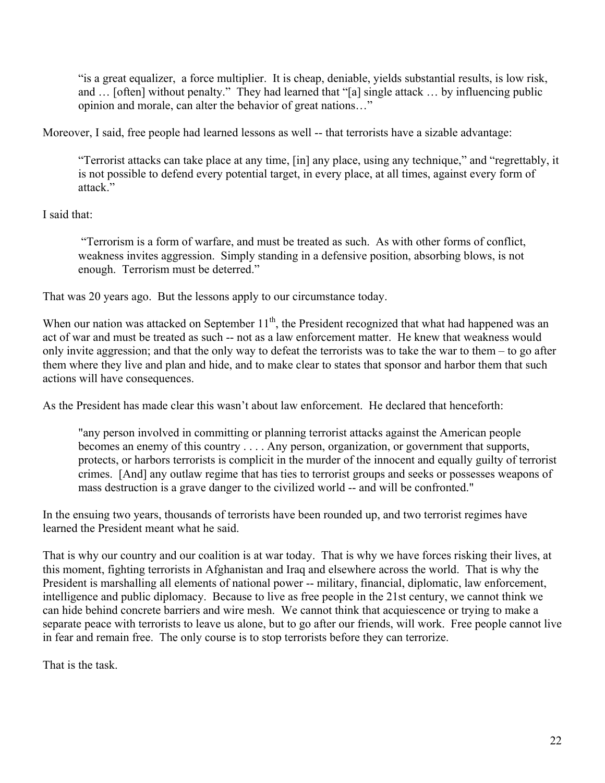"is a great equalizer, a force multiplier. It is cheap, deniable, yields substantial results, is low risk, and … [often] without penalty." They had learned that "[a] single attack … by influencing public opinion and morale, can alter the behavior of great nations…"

Moreover, I said, free people had learned lessons as well -- that terrorists have a sizable advantage:

"Terrorist attacks can take place at any time, [in] any place, using any technique," and "regrettably, it is not possible to defend every potential target, in every place, at all times, against every form of attack"

I said that:

 "Terrorism is a form of warfare, and must be treated as such. As with other forms of conflict, weakness invites aggression. Simply standing in a defensive position, absorbing blows, is not enough. Terrorism must be deterred."

That was 20 years ago. But the lessons apply to our circumstance today.

When our nation was attacked on September  $11<sup>th</sup>$ , the President recognized that what had happened was an act of war and must be treated as such -- not as a law enforcement matter. He knew that weakness would only invite aggression; and that the only way to defeat the terrorists was to take the war to them – to go after them where they live and plan and hide, and to make clear to states that sponsor and harbor them that such actions will have consequences.

As the President has made clear this wasn't about law enforcement. He declared that henceforth:

"any person involved in committing or planning terrorist attacks against the American people becomes an enemy of this country . . . . Any person, organization, or government that supports, protects, or harbors terrorists is complicit in the murder of the innocent and equally guilty of terrorist crimes. [And] any outlaw regime that has ties to terrorist groups and seeks or possesses weapons of mass destruction is a grave danger to the civilized world -- and will be confronted."

In the ensuing two years, thousands of terrorists have been rounded up, and two terrorist regimes have learned the President meant what he said.

That is why our country and our coalition is at war today. That is why we have forces risking their lives, at this moment, fighting terrorists in Afghanistan and Iraq and elsewhere across the world. That is why the President is marshalling all elements of national power -- military, financial, diplomatic, law enforcement, intelligence and public diplomacy. Because to live as free people in the 21st century, we cannot think we can hide behind concrete barriers and wire mesh. We cannot think that acquiescence or trying to make a separate peace with terrorists to leave us alone, but to go after our friends, will work. Free people cannot live in fear and remain free. The only course is to stop terrorists before they can terrorize.

That is the task.